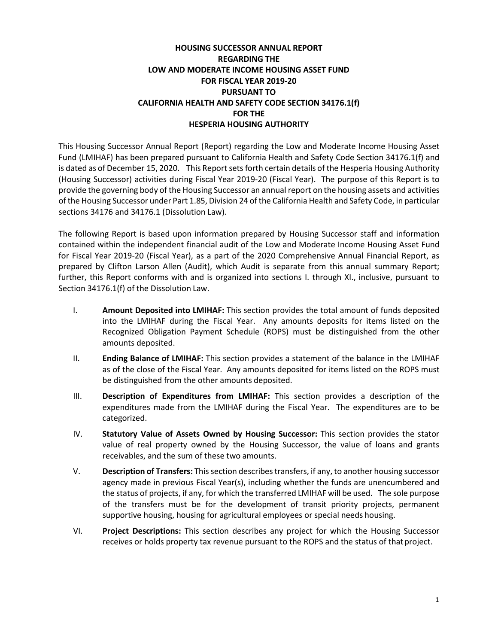# **HOUSING SUCCESSOR ANNUAL REPORT REGARDING THE LOW AND MODERATE INCOME HOUSING ASSET FUND FOR FISCAL YEAR 2019-20 PURSUANT TO CALIFORNIA HEALTH AND SAFETY CODE SECTION 34176.1(f) FOR THE HESPERIA HOUSING AUTHORITY**

This Housing Successor Annual Report (Report) regarding the Low and Moderate Income Housing Asset Fund (LMIHAF) has been prepared pursuant to California Health and Safety Code Section 34176.1(f) and is dated as of December 15, 2020. This Report sets forth certain details of the Hesperia Housing Authority (Housing Successor) activities during Fiscal Year 2019-20 (Fiscal Year). The purpose of this Report is to provide the governing body of the Housing Successor an annual report on the housing assets and activities of the Housing Successor under Part 1.85, Division 24 of the California Health and Safety Code, in particular sections 34176 and 34176.1 (Dissolution Law).

The following Report is based upon information prepared by Housing Successor staff and information contained within the independent financial audit of the Low and Moderate Income Housing Asset Fund for Fiscal Year 2019-20 (Fiscal Year), as a part of the 2020 Comprehensive Annual Financial Report, as prepared by Clifton Larson Allen (Audit), which Audit is separate from this annual summary Report; further, this Report conforms with and is organized into sections I. through XI., inclusive, pursuant to Section 34176.1(f) of the Dissolution Law.

- I. **Amount Deposited into LMIHAF:** This section provides the total amount of funds deposited into the LMIHAF during the Fiscal Year. Any amounts deposits for items listed on the Recognized Obligation Payment Schedule (ROPS) must be distinguished from the other amounts deposited.
- II. **Ending Balance of LMIHAF:** This section provides a statement of the balance in the LMIHAF as of the close of the Fiscal Year. Any amounts deposited for items listed on the ROPS must be distinguished from the other amounts deposited.
- III. **Description of Expenditures from LMIHAF:** This section provides a description of the expenditures made from the LMIHAF during the Fiscal Year. The expenditures are to be categorized.
- IV. **Statutory Value of Assets Owned by Housing Successor:** This section provides the stator value of real property owned by the Housing Successor, the value of loans and grants receivables, and the sum of these two amounts.
- V. **Description of Transfers:** Thissection describestransfers, if any, to another housing successor agency made in previous Fiscal Year(s), including whether the funds are unencumbered and the status of projects, if any, for which the transferred LMIHAF will be used. The sole purpose of the transfers must be for the development of transit priority projects, permanent supportive housing, housing for agricultural employees or special needs housing.
- VI. **Project Descriptions:** This section describes any project for which the Housing Successor receives or holds property tax revenue pursuant to the ROPS and the status of that project.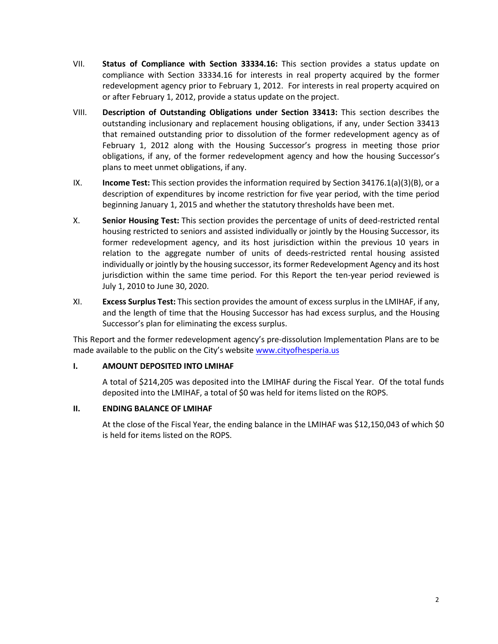- VII. **Status of Compliance with Section 33334.16:** This section provides a status update on compliance with Section 33334.16 for interests in real property acquired by the former redevelopment agency prior to February 1, 2012. For interests in real property acquired on or after February 1, 2012, provide a status update on the project.
- VIII. **Description of Outstanding Obligations under Section 33413:** This section describes the outstanding inclusionary and replacement housing obligations, if any, under Section 33413 that remained outstanding prior to dissolution of the former redevelopment agency as of February 1, 2012 along with the Housing Successor's progress in meeting those prior obligations, if any, of the former redevelopment agency and how the housing Successor's plans to meet unmet obligations, if any.
- IX. **Income Test:** This section provides the information required by Section 34176.1(a)(3)(B), or a description of expenditures by income restriction for five year period, with the time period beginning January 1, 2015 and whether the statutory thresholds have been met.
- X. **Senior Housing Test:** This section provides the percentage of units of deed-restricted rental housing restricted to seniors and assisted individually or jointly by the Housing Successor, its former redevelopment agency, and its host jurisdiction within the previous 10 years in relation to the aggregate number of units of deeds-restricted rental housing assisted individually or jointly by the housing successor, its former Redevelopment Agency and its host jurisdiction within the same time period. For this Report the ten-year period reviewed is July 1, 2010 to June 30, 2020.
- XI. **Excess Surplus Test:** This section provides the amount of excess surplus in the LMIHAF, if any, and the length of time that the Housing Successor has had excess surplus, and the Housing Successor's plan for eliminating the excess surplus.

This Report and the former redevelopment agency's pre-dissolution Implementation Plans are to be made available to the public on the City's websit[e www.cityofhesperia.us](http://www.cityofhesperia.us/)

# **I. AMOUNT DEPOSITED INTO LMIHAF**

A total of \$214,205 was deposited into the LMIHAF during the Fiscal Year. Of the total funds deposited into the LMIHAF, a total of \$0 was held for items listed on the ROPS.

# **II. ENDING BALANCE OF LMIHAF**

At the close of the Fiscal Year, the ending balance in the LMIHAF was \$12,150,043 of which \$0 is held for items listed on the ROPS.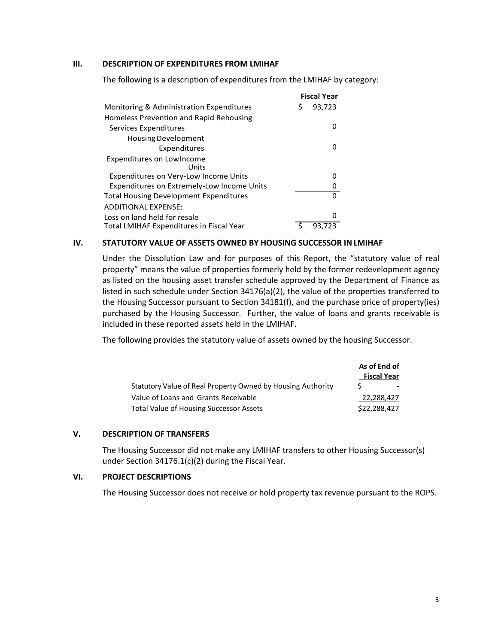## **III. DESCRIPTION OF EXPENDITURES FROM LMIHAF**

The following is a description of expenditures from the LMIHAF by category:

|                                                   | <b>Fiscal Year</b> |        |
|---------------------------------------------------|--------------------|--------|
| Monitoring & Administration Expenditures          |                    | 93,723 |
| Homeless Prevention and Rapid Rehousing           |                    |        |
| Services Expenditures                             |                    | O      |
| <b>Housing Development</b>                        |                    |        |
| Expenditures                                      |                    | O      |
| Expenditures on LowIncome<br>Units                |                    |        |
| Expenditures on Very-Low Income Units             |                    | o      |
| <b>Expenditures on Extremely-Low Income Units</b> |                    | 0      |
| <b>Total Housing Development Expenditures</b>     |                    | U      |
| <b>ADDITIONAL EXPENSE:</b>                        |                    |        |
| Loss on land held for resale                      |                    | n      |
| Total LMIHAF Expenditures in Fiscal Year          |                    | 93.723 |

#### **IV. STATUTORY VALUE OF ASSETS OWNED BY HOUSING SUCCESSOR INLMIHAF**

Under the Dissolution Law and for purposes of this Report, the "statutory value of real property" means the value of properties formerly held by the former redevelopment agency as listed on the housing asset transfer schedule approved by the Department of Finance as listed in such schedule under Section 34176(a)(2), the value of the properties transferred to the Housing Successor pursuant to Section 34181(f), and the purchase price of property(ies) purchased by the Housing Successor. Further, the value of loans and grants receivable is included in these reported assets held in the LMIHAF.

The following provides the statutory value of assets owned by the housing Successor.

|                                                             | As of End of<br><b>Fiscal Year</b> |
|-------------------------------------------------------------|------------------------------------|
| Statutory Value of Real Property Owned by Housing Authority |                                    |
| Value of Loans and Grants Receivable                        | 22,288,427                         |
| Total Value of Housing Successor Assets                     | \$22,288,427                       |

# **V. DESCRIPTION OF TRANSFERS**

The Housing Successor did not make any LMIHAF transfers to other Housing Successor(s) under Section 34176.1(c)(2) during the Fiscal Year.

#### **VI. PROJECT DESCRIPTIONS**

The Housing Successor does not receive or hold property tax revenue pursuant to the ROPS.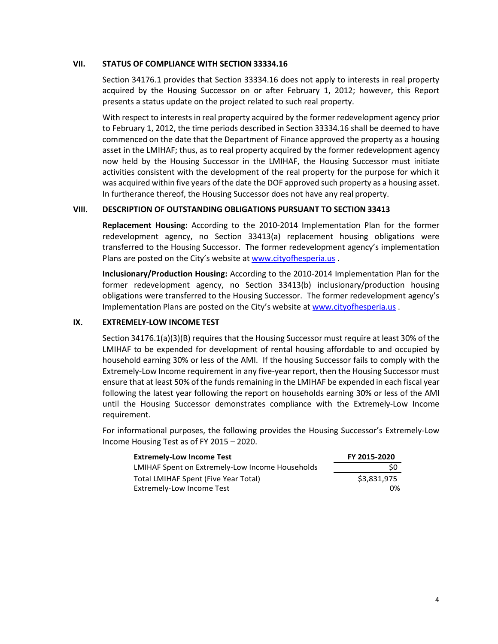## **VII. STATUS OF COMPLIANCE WITH SECTION 33334.16**

Section 34176.1 provides that Section 33334.16 does not apply to interests in real property acquired by the Housing Successor on or after February 1, 2012; however, this Report presents a status update on the project related to such real property.

With respect to interests in real property acquired by the former redevelopment agency prior to February 1, 2012, the time periods described in Section 33334.16 shall be deemed to have commenced on the date that the Department of Finance approved the property as a housing asset in the LMIHAF; thus, as to real property acquired by the former redevelopment agency now held by the Housing Successor in the LMIHAF, the Housing Successor must initiate activities consistent with the development of the real property for the purpose for which it was acquired within five years of the date the DOF approved such property as a housing asset. In furtherance thereof, the Housing Successor does not have any real property.

## **VIII. DESCRIPTION OF OUTSTANDING OBLIGATIONS PURSUANT TO SECTION 33413**

**Replacement Housing:** According to the 2010-2014 Implementation Plan for the former redevelopment agency, no Section 33413(a) replacement housing obligations were transferred to the Housing Successor. The former redevelopment agency's implementation Plans are posted on the City's website a[t www.cityofhesperia.us](http://www.cityofhesperia.us/).

**Inclusionary/Production Housing:** According to the 2010-2014 Implementation Plan for the former redevelopment agency, no Section 33413(b) inclusionary/production housing obligations were transferred to the Housing Successor. The former redevelopment agency's Implementation Plans are posted on the City's website at [www.cityofhesperia.us](http://www.cityofhesperia.us/) .

# **IX. EXTREMELY-LOW INCOME TEST**

Section 34176.1(a)(3)(B) requires that the Housing Successor must require at least 30% of the LMIHAF to be expended for development of rental housing affordable to and occupied by household earning 30% or less of the AMI. If the housing Successor fails to comply with the Extremely-Low Income requirement in any five-year report, then the Housing Successor must ensure that at least 50% of the funds remaining in the LMIHAF be expended in each fiscal year following the latest year following the report on households earning 30% or less of the AMI until the Housing Successor demonstrates compliance with the Extremely-Low Income requirement.

For informational purposes, the following provides the Housing Successor's Extremely-Low Income Housing Test as of FY 2015 – 2020.

| <b>Extremely-Low Income Test</b>                | FY 2015-2020 |
|-------------------------------------------------|--------------|
| LMIHAF Spent on Extremely-Low Income Households | S0           |
| Total LMIHAF Spent (Five Year Total)            | \$3.831.975  |
| Extremely-Low Income Test                       | 0%           |